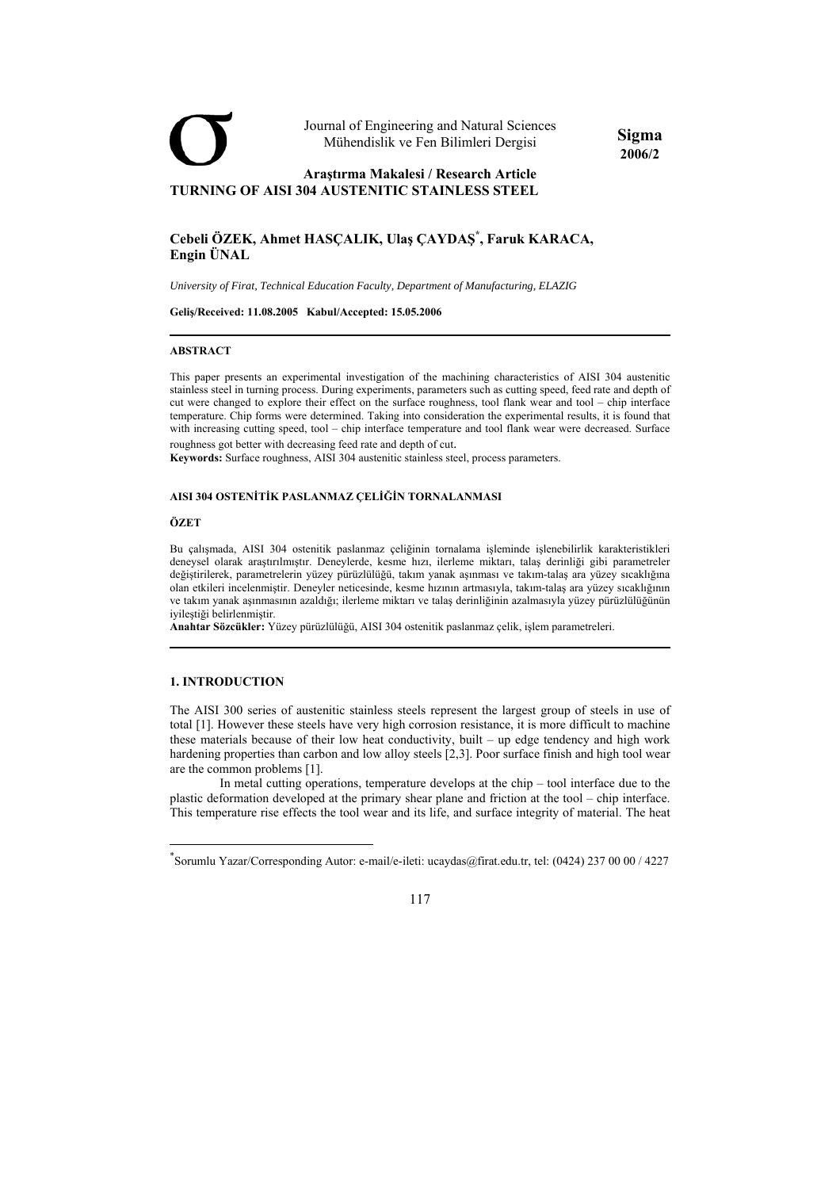

# **Cebeli ÖZEK, Ahmet HASÇALIK, Ulaş ÇAYDAŞ\* , Faruk KARACA, Engin ÜNAL**

*University of Firat, Technical Education Faculty, Department of Manufacturing, ELAZIG* 

**Geliş/Received: 11.08.2005 Kabul/Accepted: 15.05.2006** 

#### **ABSTRACT**

This paper presents an experimental investigation of the machining characteristics of AISI 304 austenitic stainless steel in turning process. During experiments, parameters such as cutting speed, feed rate and depth of cut were changed to explore their effect on the surface roughness, tool flank wear and tool – chip interface temperature. Chip forms were determined. Taking into consideration the experimental results, it is found that with increasing cutting speed, tool – chip interface temperature and tool flank wear were decreased. Surface roughness got better with decreasing feed rate and depth of cut.

**Sigma 2006/2** 

**Keywords:** Surface roughness, AISI 304 austenitic stainless steel, process parameters.

#### **AISI 304 OSTENİTİK PASLANMAZ ÇELİĞİN TORNALANMASI**

#### **ÖZET**

Bu çalışmada, AISI 304 ostenitik paslanmaz çeliğinin tornalama işleminde işlenebilirlik karakteristikleri deneysel olarak araştırılmıştır. Deneylerde, kesme hızı, ilerleme miktarı, talaş derinliği gibi parametreler değiştirilerek, parametrelerin yüzey pürüzlülüğü, takım yanak aşınması ve takım-talaş ara yüzey sıcaklığına olan etkileri incelenmiştir. Deneyler neticesinde, kesme hızının artmasıyla, takım-talaş ara yüzey sıcaklığının ve takım yanak aşınmasının azaldığı; ilerleme miktarı ve talaş derinliğinin azalmasıyla yüzey pürüzlülüğünün iyileştiği belirlenmiştir.

**Anahtar Sözcükler:** Yüzey pürüzlülüğü, AISI 304 ostenitik paslanmaz çelik, işlem parametreleri.

### **1. INTRODUCTION**

The AISI 300 series of austenitic stainless steels represent the largest group of steels in use of total [1]. However these steels have very high corrosion resistance, it is more difficult to machine these materials because of their low heat conductivity, built – up edge tendency and high work hardening properties than carbon and low alloy steels [2,3]. Poor surface finish and high tool wear are the common problems [1].

In metal cutting operations, temperature develops at the chip – tool interface due to the plastic deformation developed at the primary shear plane and friction at the tool – chip interface. This temperature rise effects the tool wear and its life, and surface integrity of material. The heat

<sup>\*</sup> Sorumlu Yazar/Corresponding Autor: e-mail/e-ileti: ucaydas@firat.edu.tr, tel: (0424) 237 00 00 / 4227

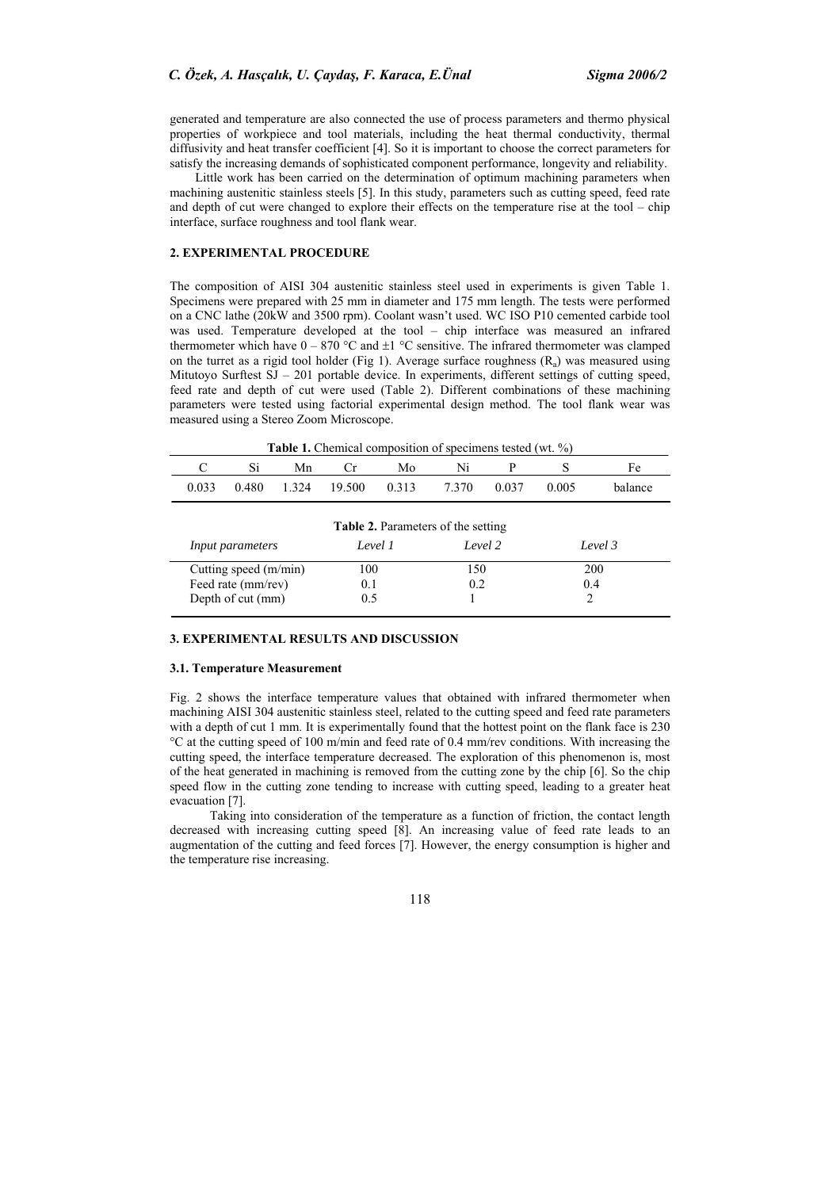generated and temperature are also connected the use of process parameters and thermo physical properties of workpiece and tool materials, including the heat thermal conductivity, thermal diffusivity and heat transfer coefficient [4]. So it is important to choose the correct parameters for satisfy the increasing demands of sophisticated component performance, longevity and reliability.

Little work has been carried on the determination of optimum machining parameters when machining austenitic stainless steels [5]. In this study, parameters such as cutting speed, feed rate and depth of cut were changed to explore their effects on the temperature rise at the tool – chip interface, surface roughness and tool flank wear.

## **2. EXPERIMENTAL PROCEDURE**

The composition of AISI 304 austenitic stainless steel used in experiments is given Table 1. Specimens were prepared with 25 mm in diameter and 175 mm length. The tests were performed on a CNC lathe (20kW and 3500 rpm). Coolant wasn't used. WC ISO P10 cemented carbide tool was used. Temperature developed at the tool – chip interface was measured an infrared thermometer which have  $0 - 870$  °C and  $\pm 1$  °C sensitive. The infrared thermometer was clamped on the turret as a rigid tool holder (Fig 1). Average surface roughness  $(R_a)$  was measured using Mitutoyo Surftest SJ – 201 portable device. In experiments, different settings of cutting speed, feed rate and depth of cut were used (Table 2). Different combinations of these machining parameters were tested using factorial experimental design method. The tool flank wear was measured using a Stereo Zoom Microscope.

| <b>Table 1.</b> Chemical composition of specimens tested (wt. %) |       |  |    |                          |    |             |  |        |         |  |  |
|------------------------------------------------------------------|-------|--|----|--------------------------|----|-------------|--|--------|---------|--|--|
|                                                                  |       |  | Mn |                          | Mo |             |  |        |         |  |  |
|                                                                  | 0.033 |  |    | 0.480 1.324 19.500 0.313 |    | 7.370 0.037 |  | -0.005 | balance |  |  |

| <b>Table 2.</b> Parameters of the setting |         |         |         |  |  |  |  |  |
|-------------------------------------------|---------|---------|---------|--|--|--|--|--|
| <i>Input parameters</i>                   | Level 1 | Level 2 | Level 3 |  |  |  |  |  |
| Cutting speed (m/min)                     | 100     | 150     | 200     |  |  |  |  |  |
| Feed rate (mm/rev)                        | 0.1     | 0.2     | 0.4     |  |  |  |  |  |
| Depth of cut (mm)                         | 0.5     |         |         |  |  |  |  |  |

## **3. EXPERIMENTAL RESULTS AND DISCUSSION**

#### **3.1. Temperature Measurement**

Fig. 2 shows the interface temperature values that obtained with infrared thermometer when machining AISI 304 austenitic stainless steel, related to the cutting speed and feed rate parameters with a depth of cut 1 mm. It is experimentally found that the hottest point on the flank face is 230 °C at the cutting speed of 100 m/min and feed rate of 0.4 mm/rev conditions. With increasing the cutting speed, the interface temperature decreased. The exploration of this phenomenon is, most of the heat generated in machining is removed from the cutting zone by the chip [6]. So the chip speed flow in the cutting zone tending to increase with cutting speed, leading to a greater heat evacuation [7].

Taking into consideration of the temperature as a function of friction, the contact length decreased with increasing cutting speed [8]. An increasing value of feed rate leads to an augmentation of the cutting and feed forces [7]. However, the energy consumption is higher and the temperature rise increasing.

118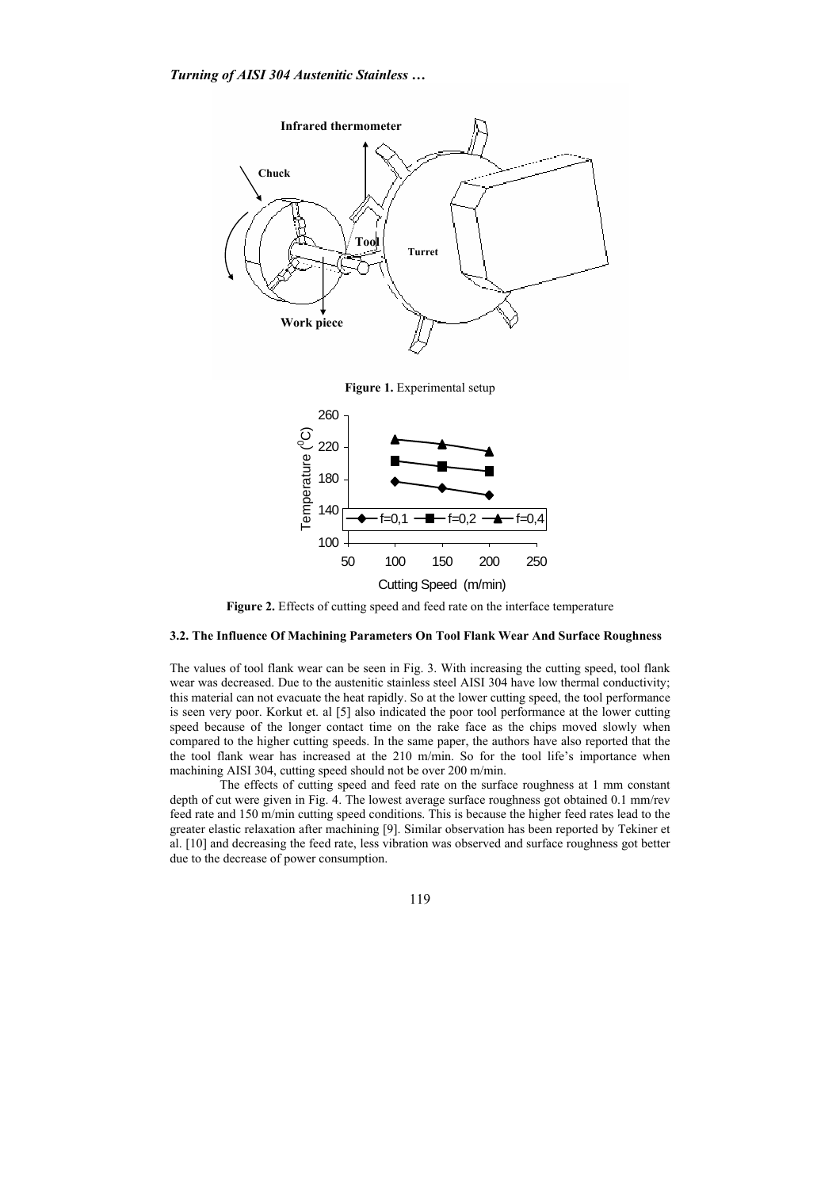

**Figure 1.** Experimental setup



Figure 2. Effects of cutting speed and feed rate on the interface temperature

# **3.2. The Influence Of Machining Parameters On Tool Flank Wear And Surface Roughness**

The values of tool flank wear can be seen in Fig. 3. With increasing the cutting speed, tool flank wear was decreased. Due to the austenitic stainless steel AISI 304 have low thermal conductivity; this material can not evacuate the heat rapidly. So at the lower cutting speed, the tool performance is seen very poor. Korkut et. al [5] also indicated the poor tool performance at the lower cutting speed because of the longer contact time on the rake face as the chips moved slowly when compared to the higher cutting speeds. In the same paper, the authors have also reported that the the tool flank wear has increased at the 210 m/min. So for the tool life's importance when machining AISI 304, cutting speed should not be over 200 m/min.

The effects of cutting speed and feed rate on the surface roughness at 1 mm constant depth of cut were given in Fig. 4. The lowest average surface roughness got obtained 0.1 mm/rev feed rate and 150 m/min cutting speed conditions. This is because the higher feed rates lead to the greater elastic relaxation after machining [9]. Similar observation has been reported by Tekiner et al. [10] and decreasing the feed rate, less vibration was observed and surface roughness got better due to the decrease of power consumption.

119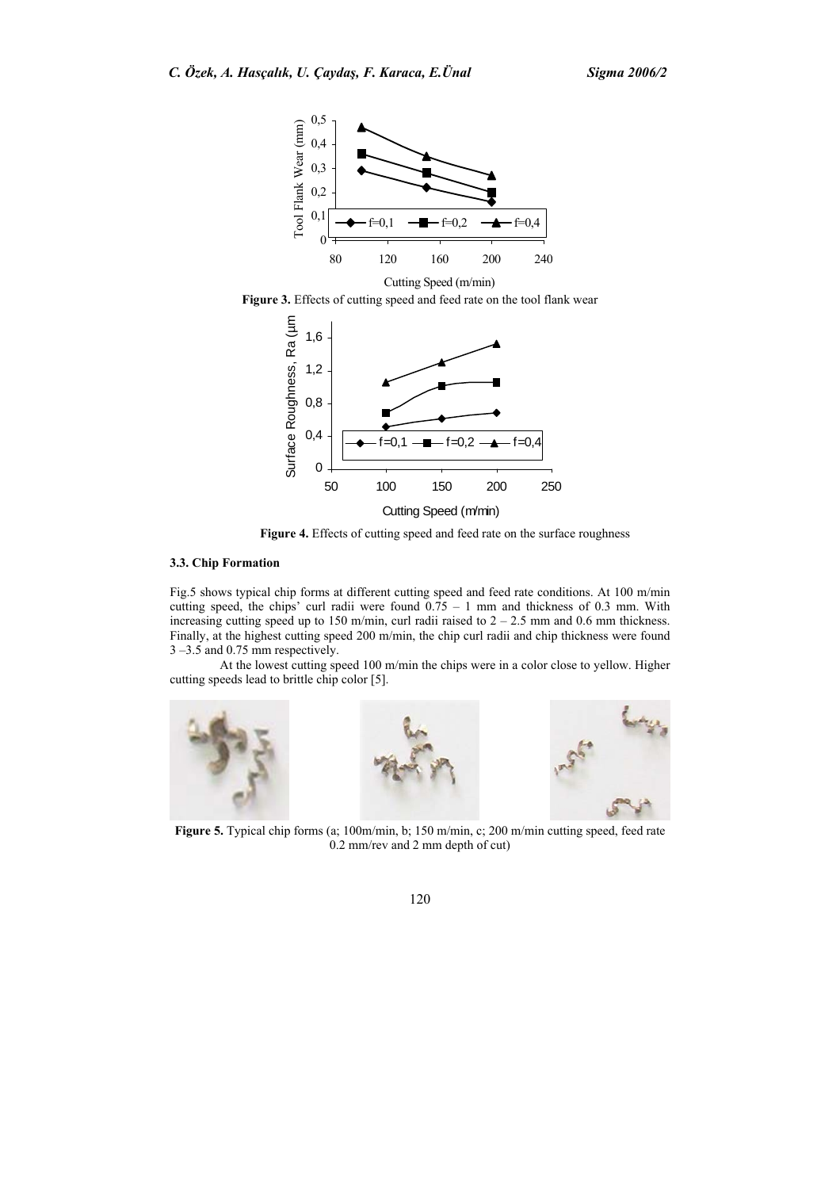

Figure 3. Effects of cutting speed and feed rate on the tool flank wear



Figure 4. Effects of cutting speed and feed rate on the surface roughness

# **3.3. Chip Formation**

Fig.5 shows typical chip forms at different cutting speed and feed rate conditions. At 100 m/min cutting speed, the chips' curl radii were found  $0.75 - 1$  mm and thickness of 0.3 mm. With increasing cutting speed up to 150 m/min, curl radii raised to  $2 - 2.5$  mm and 0.6 mm thickness. Finally, at the highest cutting speed 200 m/min, the chip curl radii and chip thickness were found 3 –3.5 and 0.75 mm respectively.

At the lowest cutting speed 100 m/min the chips were in a color close to yellow. Higher cutting speeds lead to brittle chip color [5].



**Figure 5.** Typical chip forms (a; 100m/min, b; 150 m/min, c; 200 m/min cutting speed, feed rate 0.2 mm/rev and 2 mm depth of cut)

120